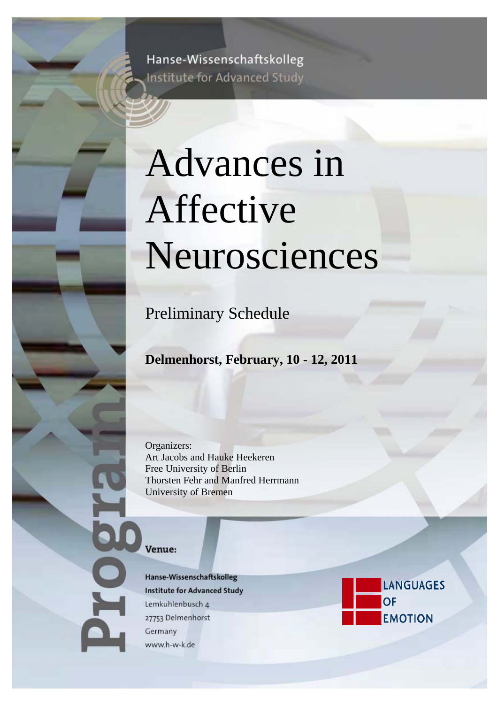Hanse-Wissenschaftskolleg Institute for Advanced Study

# Advances in Affective Neurosciences

Preliminary Schedule

**Delmenhorst, February, 10 - 12, 2011** 

Organizers: Art Jacobs and Hauke Heekeren Free University of Berlin Thorsten Fehr and Manfred Herrmann University of Bremen

#### Venue:

 $\mathbf{O}$ 

Hanse-Wissenschaftskolleg **Institute for Advanced Study** Lemkuhlenbusch 4 27753 Delmenhorst Germany www.h-w-k.de

**LANGUAGES OF EMOTION**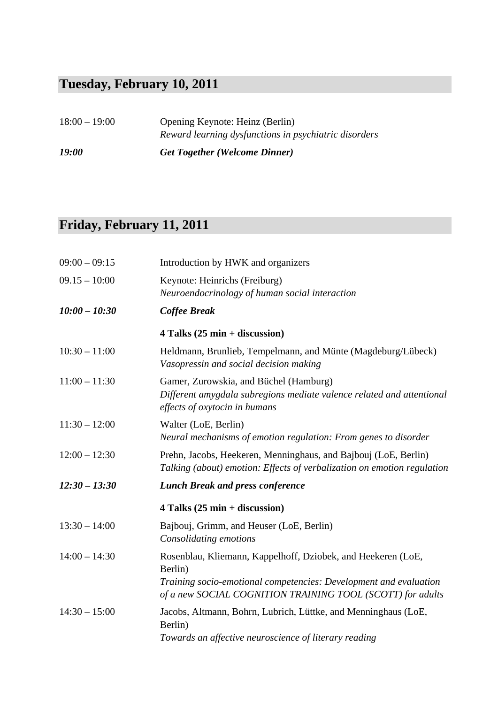### **Tuesday, February 10, 2011**

| $18:00 - 19:00$     | Opening Keynote: Heinz (Berlin)                       |
|---------------------|-------------------------------------------------------|
|                     | Reward learning dysfunctions in psychiatric disorders |
| <i><b>19:00</b></i> | <b>Get Together (Welcome Dinner)</b>                  |

### **Friday, February 11, 2011**

| $09:00 - 09:15$ | Introduction by HWK and organizers                                                                                                                                                                         |
|-----------------|------------------------------------------------------------------------------------------------------------------------------------------------------------------------------------------------------------|
| $09.15 - 10:00$ | Keynote: Heinrichs (Freiburg)<br>Neuroendocrinology of human social interaction                                                                                                                            |
| $10:00 - 10:30$ | <b>Coffee Break</b>                                                                                                                                                                                        |
|                 | $4$ Talks (25 min + discussion)                                                                                                                                                                            |
| $10:30 - 11:00$ | Heldmann, Brunlieb, Tempelmann, and Münte (Magdeburg/Lübeck)<br>Vasopressin and social decision making                                                                                                     |
| $11:00 - 11:30$ | Gamer, Zurowskia, and Büchel (Hamburg)<br>Different amygdala subregions mediate valence related and attentional<br>effects of oxytocin in humans                                                           |
| $11:30 - 12:00$ | Walter (LoE, Berlin)<br>Neural mechanisms of emotion regulation: From genes to disorder                                                                                                                    |
| $12:00 - 12:30$ | Prehn, Jacobs, Heekeren, Menninghaus, and Bajbouj (LoE, Berlin)<br>Talking (about) emotion: Effects of verbalization on emotion regulation                                                                 |
| $12:30 - 13:30$ | <b>Lunch Break and press conference</b>                                                                                                                                                                    |
|                 | $4$ Talks (25 min + discussion)                                                                                                                                                                            |
| $13:30 - 14:00$ | Bajbouj, Grimm, and Heuser (LoE, Berlin)<br>Consolidating emotions                                                                                                                                         |
| $14:00 - 14:30$ | Rosenblau, Kliemann, Kappelhoff, Dziobek, and Heekeren (LoE,<br>Berlin)<br>Training socio-emotional competencies: Development and evaluation<br>of a new SOCIAL COGNITION TRAINING TOOL (SCOTT) for adults |
| $14:30 - 15:00$ | Jacobs, Altmann, Bohrn, Lubrich, Lüttke, and Menninghaus (LoE,<br>Berlin)<br>Towards an affective neuroscience of literary reading                                                                         |